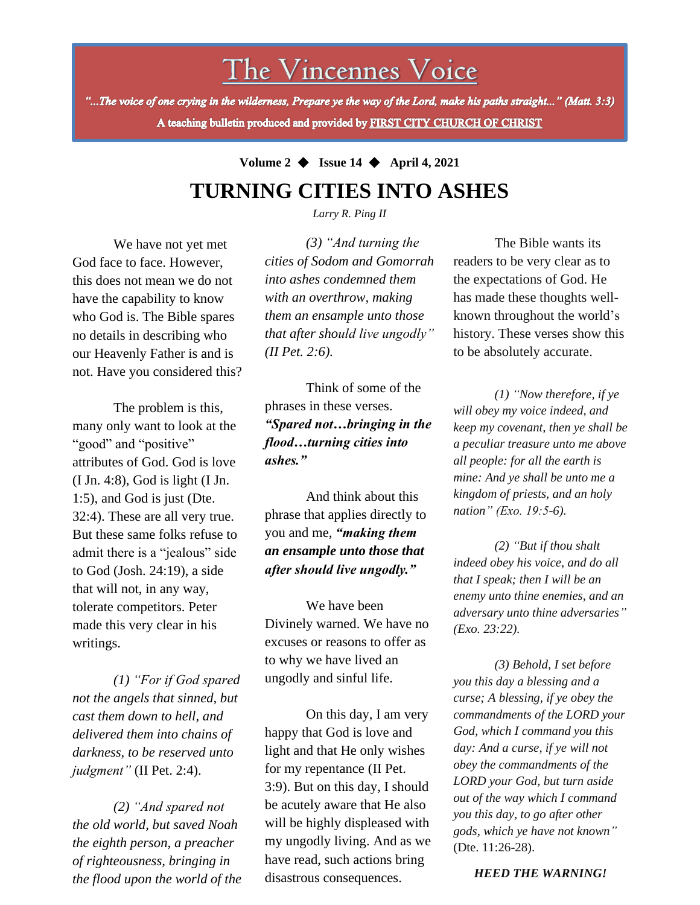## The Vincennes Voice

"...The voice of one crying in the wilderness, Prepare ye the way of the Lord, make his paths straight..." (Matt. 3:3) A teaching bulletin produced and provided by FIRST CITY CHURCH OF CHRIST

## **Volume 2** ◆ **Issue 14** ◆ **April 4, 2021 TURNING CITIES INTO ASHES**

*Larry R. Ping II*

We have not yet met God face to face. However, this does not mean we do not have the capability to know who God is. The Bible spares no details in describing who our Heavenly Father is and is not. Have you considered this?

The problem is this, many only want to look at the "good" and "positive" attributes of God. God is love (I Jn. 4:8), God is light (I Jn. 1:5), and God is just (Dte. 32:4). These are all very true. But these same folks refuse to admit there is a "jealous" side to God (Josh. 24:19), a side that will not, in any way, tolerate competitors. Peter made this very clear in his writings.

*(1) "For if God spared not the angels that sinned, but cast them down to hell, and delivered them into chains of darkness, to be reserved unto judgment"* (II Pet. 2:4).

*(2) "And spared not the old world, but saved Noah the eighth person, a preacher of righteousness, bringing in the flood upon the world of the* 

*(3) "And turning the cities of Sodom and Gomorrah into ashes condemned them with an overthrow, making them an ensample unto those that after should live ungodly" (II Pet. 2:6).*

Think of some of the phrases in these verses. *"Spared not…bringing in the flood…turning cities into ashes."*

And think about this phrase that applies directly to you and me, *"making them an ensample unto those that after should live ungodly."*

We have been Divinely warned. We have no excuses or reasons to offer as to why we have lived an ungodly and sinful life.

On this day, I am very happy that God is love and light and that He only wishes for my repentance (II Pet. 3:9). But on this day, I should be acutely aware that He also will be highly displeased with my ungodly living. And as we have read, such actions bring disastrous consequences.

The Bible wants its readers to be very clear as to the expectations of God. He has made these thoughts wellknown throughout the world's history. These verses show this to be absolutely accurate.

*(1) "Now therefore, if ye will obey my voice indeed, and keep my covenant, then ye shall be a peculiar treasure unto me above all people: for all the earth is mine: And ye shall be unto me a kingdom of priests, and an holy nation" (Exo. 19:5-6).*

*(2) "But if thou shalt indeed obey his voice, and do all that I speak; then I will be an enemy unto thine enemies, and an adversary unto thine adversaries" (Exo. 23:22).*

*(3) Behold, I set before you this day a blessing and a curse; A blessing, if ye obey the commandments of the LORD your God, which I command you this day: And a curse, if ye will not obey the commandments of the LORD your God, but turn aside out of the way which I command you this day, to go after other gods, which ye have not known"* (Dte. 11:26-28).

*HEED THE WARNING!*